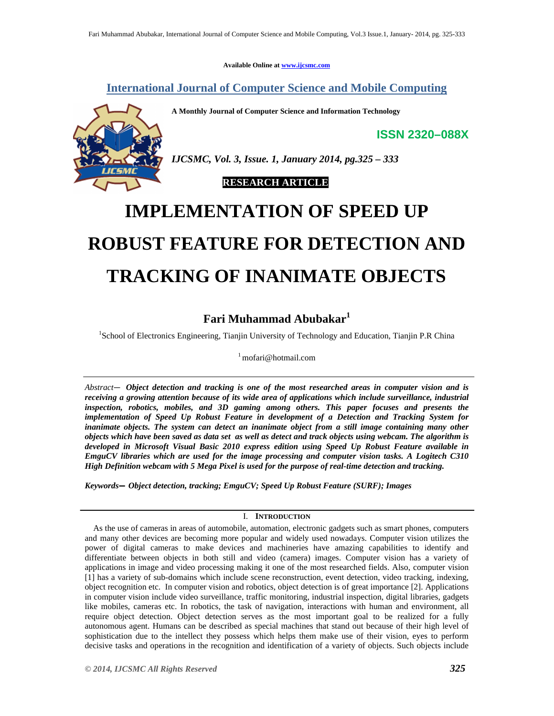**Available Online at www.ijcsmc.com**

**International Journal of Computer Science and Mobile Computing**

**A Monthly Journal of Computer Science and Information Technology**

**ISSN 2320–088X**



*IJCSMC, Vol. 3, Issue. 1, January 2014, pg.325 – 333*

 **RESEARCH ARTICLE**

# **IMPLEMENTATION OF SPEED UP ROBUST FEATURE FOR DETECTION AND TRACKING OF INANIMATE OBJECTS**

# **Fari Muhammad Abubakar<sup>1</sup>**

<sup>1</sup>School of Electronics Engineering, Tianjin University of Technology and Education, Tianjin P.R China

<sup>1</sup> mofari@hotmail.com

*Abstract— Object detection and tracking is one of the most researched areas in computer vision and is receiving a growing attention because of its wide area of applications which include surveillance, industrial inspection, robotics, mobiles, and 3D gaming among others. This paper focuses and presents the implementation of Speed Up Robust Feature in development of a Detection and Tracking System for inanimate objects. The system can detect an inanimate object from a still image containing many other objects which have been saved as data set as well as detect and track objects using webcam. The algorithm is developed in Microsoft Visual Basic 2010 express edition using Speed Up Robust Feature available in EmguCV libraries which are used for the image processing and computer vision tasks. A Logitech C310 High Definition webcam with 5 Mega Pixel is used for the purpose of real-time detection and tracking.*

*Keywords— Object detection, tracking; EmguCV; Speed Up Robust Feature (SURF); Images* 

# I. **INTRODUCTION**

 As the use of cameras in areas of automobile, automation, electronic gadgets such as smart phones, computers and many other devices are becoming more popular and widely used nowadays. Computer vision utilizes the power of digital cameras to make devices and machineries have amazing capabilities to identify and differentiate between objects in both still and video (camera) images. Computer vision has a variety of applications in image and video processing making it one of the most researched fields. Also, computer vision [1] has a variety of sub-domains which include scene reconstruction, event detection, video tracking, indexing, object recognition etc. In computer vision and robotics, object detection is of great importance [2]. Applications in computer vision include video surveillance, traffic monitoring, industrial inspection, digital libraries, gadgets like mobiles, cameras etc. In robotics, the task of navigation, interactions with human and environment, all require object detection. Object detection serves as the most important goal to be realized for a fully autonomous agent. Humans can be described as special machines that stand out because of their high level of sophistication due to the intellect they possess which helps them make use of their vision, eyes to perform decisive tasks and operations in the recognition and identification of a variety of objects. Such objects include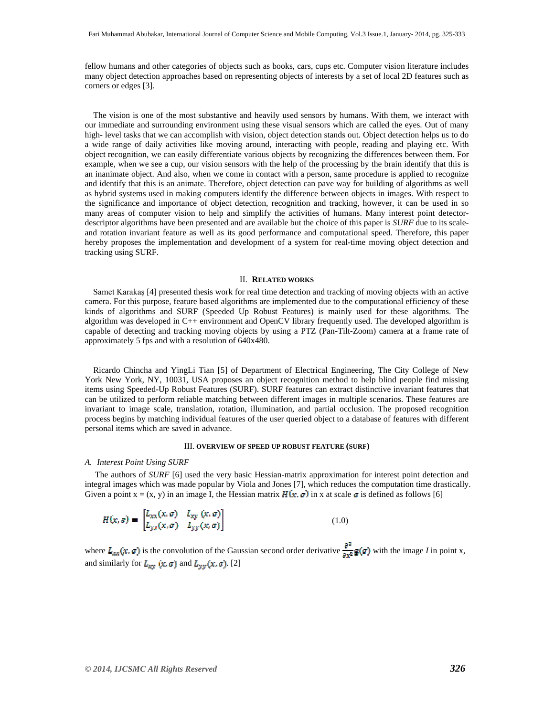fellow humans and other categories of objects such as books, cars, cups etc. Computer vision literature includes many object detection approaches based on representing objects of interests by a set of local 2D features such as corners or edges [3].

 The vision is one of the most substantive and heavily used sensors by humans. With them, we interact with our immediate and surrounding environment using these visual sensors which are called the eyes. Out of many high- level tasks that we can accomplish with vision, object detection stands out. Object detection helps us to do a wide range of daily activities like moving around, interacting with people, reading and playing etc. With object recognition, we can easily differentiate various objects by recognizing the differences between them. For example, when we see a cup, our vision sensors with the help of the processing by the brain identify that this is an inanimate object. And also, when we come in contact with a person, same procedure is applied to recognize and identify that this is an animate. Therefore, object detection can pave way for building of algorithms as well as hybrid systems used in making computers identify the difference between objects in images. With respect to the significance and importance of object detection, recognition and tracking, however, it can be used in so many areas of computer vision to help and simplify the activities of humans. Many interest point detectordescriptor algorithms have been presented and are available but the choice of this paper is *SURF* due to its scaleand rotation invariant feature as well as its good performance and computational speed. Therefore, this paper hereby proposes the implementation and development of a system for real-time moving object detection and tracking using SURF.

#### II. **RELATED WORKS**

 Samet Karakaş [4] presented thesis work for real time detection and tracking of moving objects with an active camera. For this purpose, feature based algorithms are implemented due to the computational efficiency of these kinds of algorithms and SURF (Speeded Up Robust Features) is mainly used for these algorithms. The algorithm was developed in C++ environment and OpenCV library frequently used. The developed algorithm is capable of detecting and tracking moving objects by using a PTZ (Pan-Tilt-Zoom) camera at a frame rate of approximately 5 fps and with a resolution of 640x480.

 Ricardo Chincha and YingLi Tian [5] of Department of Electrical Engineering, The City College of New York New York, NY, 10031, USA proposes an object recognition method to help blind people find missing items using Speeded-Up Robust Features (SURF). SURF features can extract distinctive invariant features that can be utilized to perform reliable matching between different images in multiple scenarios. These features are invariant to image scale, translation, rotation, illumination, and partial occlusion. The proposed recognition process begins by matching individual features of the user queried object to a database of features with different personal items which are saved in advance.

# III. **OVERVIEW OF SPEED UP ROBUST FEATURE (SURF)**

#### *A. Interest Point Using SURF*

 The authors of *SURF* [6] used the very basic Hessian-matrix approximation for interest point detection and integral images which was made popular by Viola and Jones [7], which reduces the computation time drastically. Given a point  $x = (x, y)$  in an image I, the Hessian matrix  $H(x, \sigma)$  in x at scale  $\sigma$  is defined as follows [6]

$$
H(x, \sigma) = \begin{bmatrix} L_{xx}(x, \sigma) & L_{xy}(x, \sigma) \\ L_{yx}(x, \sigma) & L_{yy}(x, \sigma) \end{bmatrix}
$$
 (1.0)

where  $L_{xx}(x, \sigma)$  is the convolution of the Gaussian second order derivative  $\frac{\partial^2}{\partial x^2}$ **g(** $\sigma$ **)** with the image *I* in point x, and similarly for  $L_{xy}(x, \sigma)$  and  $L_{yy}(x, \sigma)$ . [2]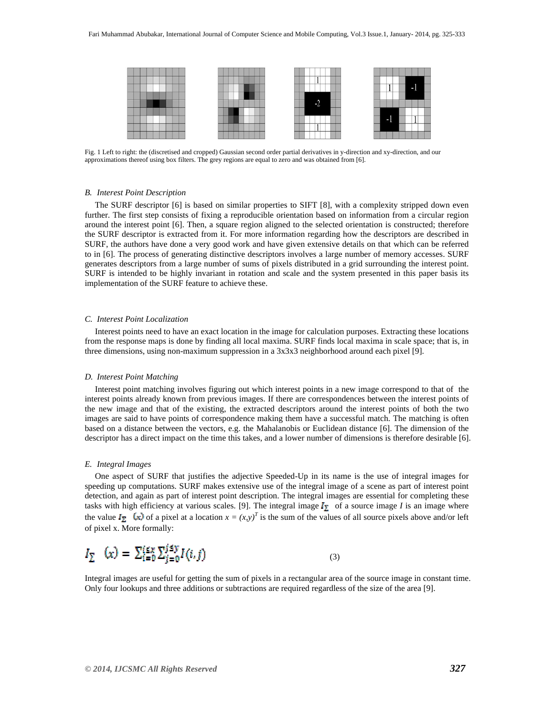

Fig. 1 Left to right: the (discretised and cropped) Gaussian second order partial derivatives in y-direction and xy-direction, and our approximations thereof using box filters. The grey regions are equal to zero and was obtained from [6].

#### *B. Interest Point Description*

 The SURF descriptor [6] is based on similar properties to SIFT [8], with a complexity stripped down even further. The first step consists of fixing a reproducible orientation based on information from a circular region around the interest point [6]. Then, a square region aligned to the selected orientation is constructed; therefore the SURF descriptor is extracted from it. For more information regarding how the descriptors are described in SURF, the authors have done a very good work and have given extensive details on that which can be referred to in [6]. The process of generating distinctive descriptors involves a large number of memory accesses. SURF generates descriptors from a large number of sums of pixels distributed in a grid surrounding the interest point. SURF is intended to be highly invariant in rotation and scale and the system presented in this paper basis its implementation of the SURF feature to achieve these.

# *C. Interest Point Localization*

 Interest points need to have an exact location in the image for calculation purposes. Extracting these locations from the response maps is done by finding all local maxima. SURF finds local maxima in scale space; that is, in three dimensions, using non-maximum suppression in a 3x3x3 neighborhood around each pixel [9].

#### *D. Interest Point Matching*

 Interest point matching involves figuring out which interest points in a new image correspond to that of the interest points already known from previous images. If there are correspondences between the interest points of the new image and that of the existing, the extracted descriptors around the interest points of both the two images are said to have points of correspondence making them have a successful match. The matching is often based on a distance between the vectors, e.g. the Mahalanobis or Euclidean distance [6]. The dimension of the descriptor has a direct impact on the time this takes, and a lower number of dimensions is therefore desirable [6].

#### *E. Integral Images*

 One aspect of SURF that justifies the adjective Speeded-Up in its name is the use of integral images for speeding up computations. SURF makes extensive use of the integral image of a scene as part of interest point detection, and again as part of interest point description. The integral images are essential for completing these tasks with high efficiency at various scales. [9]. The integral image  $I_{\sum}$  of a source image *I* is an image where the value  $I_{\Sigma}$  (x) of a pixel at a location  $x = (x, y)^T$  is the sum of the values of all source pixels above and/or left of pixel x. More formally:

$$
I_{\Sigma} \quad (x) = \sum_{i=0}^{i \leq x} \sum_{j=0}^{j \leq y} I(i, j) \tag{3}
$$

Integral images are useful for getting the sum of pixels in a rectangular area of the source image in constant time. Only four lookups and three additions or subtractions are required regardless of the size of the area [9].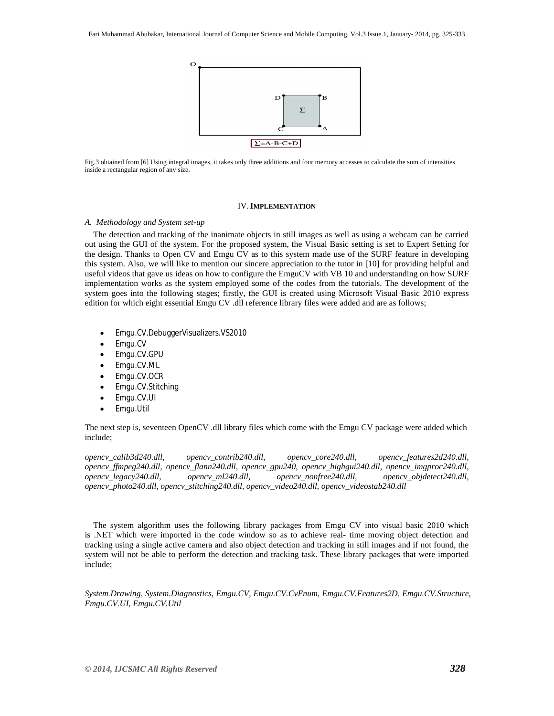

Fig.3 obtained from [6] Using integral images, it takes only three additions and four memory accesses to calculate the sum of intensities inside a rectangular region of any size.

# IV.**IMPLEMENTATION**

# *A. Methodology and System set-up*

 The detection and tracking of the inanimate objects in still images as well as using a webcam can be carried out using the GUI of the system. For the proposed system, the Visual Basic setting is set to Expert Setting for the design. Thanks to Open CV and Emgu CV as to this system made use of the SURF feature in developing this system. Also, we will like to mention our sincere appreciation to the tutor in [10] for providing helpful and useful videos that gave us ideas on how to configure the EmguCV with VB 10 and understanding on how SURF implementation works as the system employed some of the codes from the tutorials. The development of the system goes into the following stages; firstly, the GUI is created using Microsoft Visual Basic 2010 express edition for which eight essential Emgu CV .dll reference library files were added and are as follows;

- Emgu.CV.DebuggerVisualizers.VS2010
- Emgu.CV
- Emgu.CV.GPU
- Emgu.CV.ML
- Emgu.CV.OCR
- Emgu.CV.Stitching
- Emgu.CV.UI
- Emgu.Util

The next step is, seventeen OpenCV .dll library files which come with the Emgu CV package were added which include;

*opencv\_calib3d240.dll, opencv\_contrib240.dll, opencv\_core240.dll, opencv\_features2d240.dll, opencv\_ffmpeg240.dll, opencv\_flann240.dll, opencv\_gpu240, opencv\_highgui240.dll, opencv\_imgproc240.dll, opencv\_legacy240.dll, opencv\_ml240.dll, opencv\_nonfree240.dll, opencv\_objdetect240.dll, opencv\_photo240.dll, opencv\_stitching240.dll, opencv\_video240.dll, opencv\_videostab240.dll* 

 The system algorithm uses the following library packages from Emgu CV into visual basic 2010 which is .NET which were imported in the code window so as to achieve real- time moving object detection and tracking using a single active camera and also object detection and tracking in still images and if not found, the system will not be able to perform the detection and tracking task. These library packages that were imported include;

*System.Drawing, System.Diagnostics, Emgu.CV, Emgu.CV.CvEnum, Emgu.CV.Features2D, Emgu.CV.Structure, Emgu.CV.UI, Emgu.CV.Util*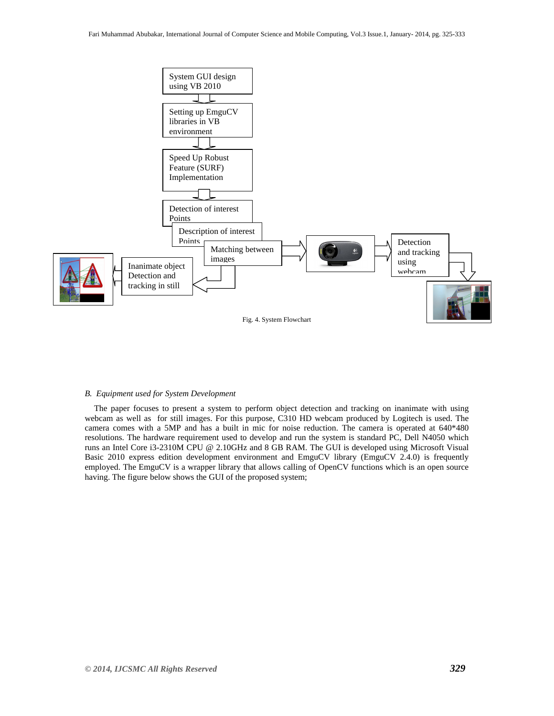

#### *B. Equipment used for System Development*

 The paper focuses to present a system to perform object detection and tracking on inanimate with using webcam as well as for still images. For this purpose, C310 HD webcam produced by Logitech is used. The camera comes with a 5MP and has a built in mic for noise reduction. The camera is operated at 640\*480 resolutions. The hardware requirement used to develop and run the system is standard PC, Dell N4050 which runs an Intel Core i3-2310M CPU @ 2.10GHz and 8 GB RAM. The GUI is developed using Microsoft Visual Basic 2010 express edition development environment and EmguCV library (EmguCV 2.4.0) is frequently employed. The EmguCV is a wrapper library that allows calling of OpenCV functions which is an open source having. The figure below shows the GUI of the proposed system;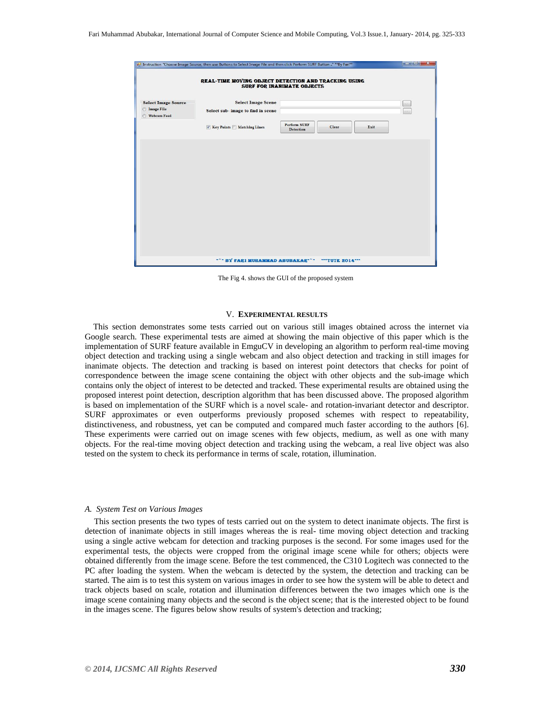|                                                                                           | all Instruction "Choose Image Source, then use Buttons to Select Image File and then click Perform SURF Button " **By Fari** |                                  |               |                    |  |  |  |  |  |
|-------------------------------------------------------------------------------------------|------------------------------------------------------------------------------------------------------------------------------|----------------------------------|---------------|--------------------|--|--|--|--|--|
| REAL-TIME MOVING OBJECT DETECTION AND TRACKING USING<br><b>SURF FOR INANIMATE OBJECTS</b> |                                                                                                                              |                                  |               |                    |  |  |  |  |  |
| <b>Select Image Source</b><br><b>O</b> Image File<br><b>Webcam Feed</b>                   | <b>Select Image Scene</b><br>Select sub- image to find in scene                                                              |                                  |               | <b>B</b><br>$\sim$ |  |  |  |  |  |
|                                                                                           | Key Points Matching Lines                                                                                                    | <b>Perform SURF</b><br>Detection | Clear<br>Exit |                    |  |  |  |  |  |
|                                                                                           |                                                                                                                              |                                  |               |                    |  |  |  |  |  |
|                                                                                           |                                                                                                                              |                                  |               |                    |  |  |  |  |  |
|                                                                                           |                                                                                                                              |                                  |               |                    |  |  |  |  |  |
|                                                                                           |                                                                                                                              |                                  |               |                    |  |  |  |  |  |
|                                                                                           |                                                                                                                              |                                  |               |                    |  |  |  |  |  |
|                                                                                           |                                                                                                                              |                                  |               |                    |  |  |  |  |  |
|                                                                                           |                                                                                                                              |                                  |               |                    |  |  |  |  |  |
|                                                                                           | *** BY FARI MUHAMMAD ABUBAKAR***                                                                                             |                                  | ""TUTE 2014"" |                    |  |  |  |  |  |

The Fig 4. shows the GUI of the proposed system

# V. **EXPERIMENTAL RESULTS**

 This section demonstrates some tests carried out on various still images obtained across the internet via Google search. These experimental tests are aimed at showing the main objective of this paper which is the implementation of SURF feature available in EmguCV in developing an algorithm to perform real-time moving object detection and tracking using a single webcam and also object detection and tracking in still images for inanimate objects. The detection and tracking is based on interest point detectors that checks for point of correspondence between the image scene containing the object with other objects and the sub-image which contains only the object of interest to be detected and tracked. These experimental results are obtained using the proposed interest point detection, description algorithm that has been discussed above. The proposed algorithm is based on implementation of the SURF which is a novel scale- and rotation-invariant detector and descriptor. SURF approximates or even outperforms previously proposed schemes with respect to repeatability, distinctiveness, and robustness, yet can be computed and compared much faster according to the authors [6]. These experiments were carried out on image scenes with few objects, medium, as well as one with many objects. For the real-time moving object detection and tracking using the webcam, a real live object was also tested on the system to check its performance in terms of scale, rotation, illumination.

#### *A. System Test on Various Images*

 This section presents the two types of tests carried out on the system to detect inanimate objects. The first is detection of inanimate objects in still images whereas the is real- time moving object detection and tracking using a single active webcam for detection and tracking purposes is the second. For some images used for the experimental tests, the objects were cropped from the original image scene while for others; objects were obtained differently from the image scene. Before the test commenced, the C310 Logitech was connected to the PC after loading the system. When the webcam is detected by the system, the detection and tracking can be started. The aim is to test this system on various images in order to see how the system will be able to detect and track objects based on scale, rotation and illumination differences between the two images which one is the image scene containing many objects and the second is the object scene; that is the interested object to be found in the images scene. The figures below show results of system's detection and tracking;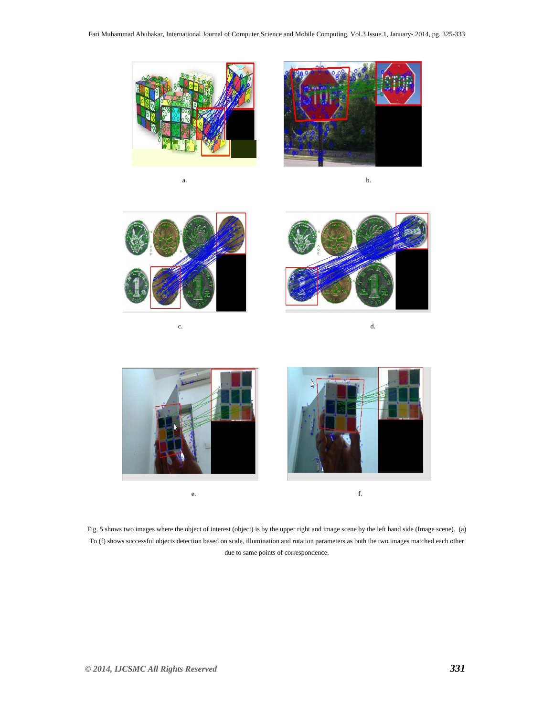



a. b.





 $c.$  d.



Fig. 5 shows two images where the object of interest (object) is by the upper right and image scene by the left hand side (Image scene). (a) To (f) shows successful objects detection based on scale, illumination and rotation parameters as both the two images matched each other due to same points of correspondence.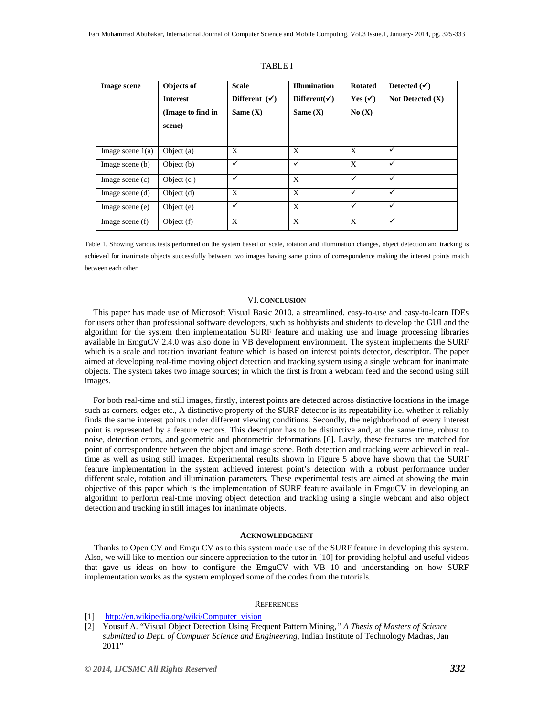| <b>Image scene</b> | Objects of<br><b>Interest</b><br>(Image to find in<br>scene) | <b>Scale</b><br>Different $(\checkmark)$<br>Same $(X)$ | <b>Illumination</b><br>Different( $\checkmark$ )<br>Same $(X)$ | <b>Rotated</b><br>Yes $(\checkmark)$<br>No(X) | Detected $(\checkmark)$<br>Not Detected $(X)$ |
|--------------------|--------------------------------------------------------------|--------------------------------------------------------|----------------------------------------------------------------|-----------------------------------------------|-----------------------------------------------|
| Image scene $1(a)$ | Object $(a)$                                                 | X                                                      | X                                                              | X                                             | ✓                                             |
| Image scene $(b)$  | Object (b)                                                   | $\checkmark$                                           | ✓                                                              | X                                             | ✓                                             |
| Image scene $(c)$  | Object $(c)$                                                 | ✓                                                      | X                                                              | ✓                                             | ✓                                             |
| Image scene $(d)$  | Object $(d)$                                                 | X                                                      | X                                                              | $\checkmark$                                  | ✓                                             |
| Image scene (e)    | Object (e)                                                   | $\checkmark$                                           | X                                                              | $\checkmark$                                  | ✓                                             |
| Image scene $(f)$  | Object (f)                                                   | X                                                      | X                                                              | X                                             | ✓                                             |

TABLE I

Table 1. Showing various tests performed on the system based on scale, rotation and illumination changes, object detection and tracking is achieved for inanimate objects successfully between two images having same points of correspondence making the interest points match between each other.

#### VI. **CONCLUSION**

 This paper has made use of Microsoft Visual Basic 2010, a streamlined, easy-to-use and easy-to-learn IDEs for users other than professional software developers, such as hobbyists and students to develop the GUI and the algorithm for the system then implementation SURF feature and making use and image processing libraries available in EmguCV 2.4.0 was also done in VB development environment. The system implements the SURF which is a scale and rotation invariant feature which is based on interest points detector, descriptor. The paper aimed at developing real-time moving object detection and tracking system using a single webcam for inanimate objects. The system takes two image sources; in which the first is from a webcam feed and the second using still images.

 For both real-time and still images, firstly, interest points are detected across distinctive locations in the image such as corners, edges etc., A distinctive property of the SURF detector is its repeatability i.e. whether it reliably finds the same interest points under different viewing conditions. Secondly, the neighborhood of every interest point is represented by a feature vectors. This descriptor has to be distinctive and, at the same time, robust to noise, detection errors, and geometric and photometric deformations [6]. Lastly, these features are matched for point of correspondence between the object and image scene. Both detection and tracking were achieved in realtime as well as using still images. Experimental results shown in Figure 5 above have shown that the SURF feature implementation in the system achieved interest point's detection with a robust performance under different scale, rotation and illumination parameters. These experimental tests are aimed at showing the main objective of this paper which is the implementation of SURF feature available in EmguCV in developing an algorithm to perform real-time moving object detection and tracking using a single webcam and also object detection and tracking in still images for inanimate objects.

#### **ACKNOWLEDGMENT**

Thanks to Open CV and Emgu CV as to this system made use of the SURF feature in developing this system. Also, we will like to mention our sincere appreciation to the tutor in [10] for providing helpful and useful videos that gave us ideas on how to configure the EmguCV with VB 10 and understanding on how SURF implementation works as the system employed some of the codes from the tutorials.

#### **REFERENCES**

- [1] http://en.wikipedia.org/wiki/Computer\_vision
- [2] Yousuf A. "Visual Object Detection Using Frequent Pattern Mining*," A Thesis of Masters of Science submitted to Dept. of Computer Science and Engineering*, Indian Institute of Technology Madras, Jan 2011"